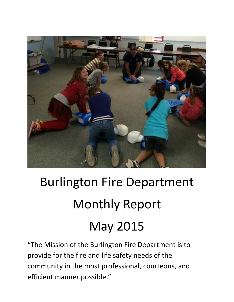

# Burlington Fire Department Monthly Report May 2015

"The Mission of the Burlington Fire Department is to provide for the fire and life safety needs of the community in the most professional, courteous, and efficient manner possible."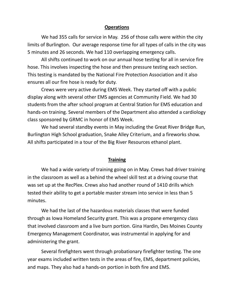#### **Operations**

We had 355 calls for service in May. 256 of those calls were within the city limits of Burlington. Our average response time for all types of calls in the city was 5 minutes and 26 seconds. We had 110 overlapping emergency calls.

All shifts continued to work on our annual hose testing for all in service fire hose. This involves inspecting the hose and then pressure testing each section. This testing is mandated by the National Fire Protection Association and it also ensures all our fire hose is ready for duty.

Crews were very active during EMS Week. They started off with a public display along with several other EMS agencies at Community Field. We had 30 students from the after school program at Central Station for EMS education and hands-on training. Several members of the Department also attended a cardiology class sponsored by GRMC in honor of EMS Week.

We had several standby events in May including the Great River Bridge Run, Burlington High School graduation, Snake Alley Criterium, and a fireworks show. All shifts participated in a tour of the Big River Resources ethanol plant.

#### **Training**

 We had a wide variety of training going on in May. Crews had driver training in the classroom as well as a behind the wheel skill test at a driving course that was set up at the RecPlex. Crews also had another round of 1410 drills which tested their ability to get a portable master stream into service in less than 5 minutes.

 We had the last of the hazardous materials classes that were funded through as Iowa Homeland Security grant. This was a propane emergency class that involved classroom and a live burn portion. Gina Hardin, Des Moines County Emergency Management Coordinator, was instrumental in applying for and administering the grant.

 Several firefighters went through probationary firefighter testing. The one year exams included written tests in the areas of fire, EMS, department policies, and maps. They also had a hands-on portion in both fire and EMS.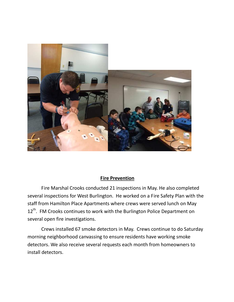

#### **Fire Prevention**

 Fire Marshal Crooks conducted 21 inspections in May. He also completed several inspections for West Burlington. He worked on a Fire Safety Plan with the staff from Hamilton Place Apartments where crews were served lunch on May 12<sup>th</sup>. FM Crooks continues to work with the Burlington Police Department on several open fire investigations.

Crews installed 67 smoke detectors in May. Crews continue to do Saturday morning neighborhood canvassing to ensure residents have working smoke detectors. We also receive several requests each month from homeowners to install detectors.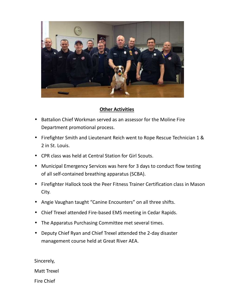

## **Other Activities**

- Battalion Chief Workman served as an assessor for the Moline Fire Department promotional process.
- Firefighter Smith and Lieutenant Reich went to Rope Rescue Technician 1 & 2 in St. Louis.
- CPR class was held at Central Station for Girl Scouts.
- Municipal Emergency Services was here for 3 days to conduct flow testing of all self-contained breathing apparatus (SCBA).
- Firefighter Hallock took the Peer Fitness Trainer Certification class in Mason City.
- Angie Vaughan taught "Canine Encounters" on all three shifts.
- Chief Trexel attended Fire-based EMS meeting in Cedar Rapids.
- The Apparatus Purchasing Committee met several times.
- Deputy Chief Ryan and Chief Trexel attended the 2-day disaster management course held at Great River AEA.

Sincerely,

Matt Trexel

Fire Chief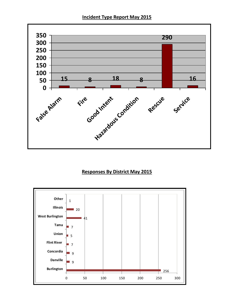**Incident Type Report May 2015** 



### **Responses By District May 2015**